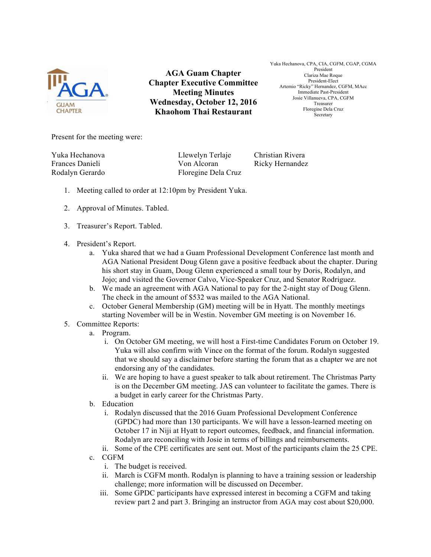

**AGA Guam Chapter Chapter Executive Committee Meeting Minutes Wednesday, October 12, 2016 Khaohom Thai Restaurant**

Yuka Hechanova, CPA, CIA, CGFM, CGAP, CGMA President Clariza Mae Roque President-Elect Artemio "Ricky" Hernandez, CGFM, MAcc Immediate Past-President Josie Villanueva, CPA, CGFM Treasurer Floregine Dela Cruz Secretary

Present for the meeting were:

Yuka Hechanova Llewelyn Terlaje Christian Rivera Frances Danieli **Von Alcoran** Ricky Hernandez Rodalyn Gerardo Floregine Dela Cruz

- 1. Meeting called to order at 12:10pm by President Yuka.
- 2. Approval of Minutes. Tabled.
- 3. Treasurer's Report. Tabled.
- 4. President's Report.
	- a. Yuka shared that we had a Guam Professional Development Conference last month and AGA National President Doug Glenn gave a positive feedback about the chapter. During his short stay in Guam, Doug Glenn experienced a small tour by Doris, Rodalyn, and Jojo; and visited the Governor Calvo, Vice-Speaker Cruz, and Senator Rodriguez.
	- b. We made an agreement with AGA National to pay for the 2-night stay of Doug Glenn. The check in the amount of \$532 was mailed to the AGA National.
	- c. October General Membership (GM) meeting will be in Hyatt. The monthly meetings starting November will be in Westin. November GM meeting is on November 16.
- 5. Committee Reports:
	- a. Program.
		- i. On October GM meeting, we will host a First-time Candidates Forum on October 19. Yuka will also confirm with Vince on the format of the forum. Rodalyn suggested that we should say a disclaimer before starting the forum that as a chapter we are not endorsing any of the candidates.
		- ii. We are hoping to have a guest speaker to talk about retirement. The Christmas Party is on the December GM meeting. JAS can volunteer to facilitate the games. There is a budget in early career for the Christmas Party.
	- b. Education
		- i. Rodalyn discussed that the 2016 Guam Professional Development Conference (GPDC) had more than 130 participants. We will have a lesson-learned meeting on October 17 in Niji at Hyatt to report outcomes, feedback, and financial information. Rodalyn are reconciling with Josie in terms of billings and reimbursements.
		- ii. Some of the CPE certificates are sent out. Most of the participants claim the 25 CPE.
	- c. CGFM
		- i. The budget is received.
		- ii. March is CGFM month. Rodalyn is planning to have a training session or leadership challenge; more information will be discussed on December.
		- iii. Some GPDC participants have expressed interest in becoming a CGFM and taking review part 2 and part 3. Bringing an instructor from AGA may cost about \$20,000.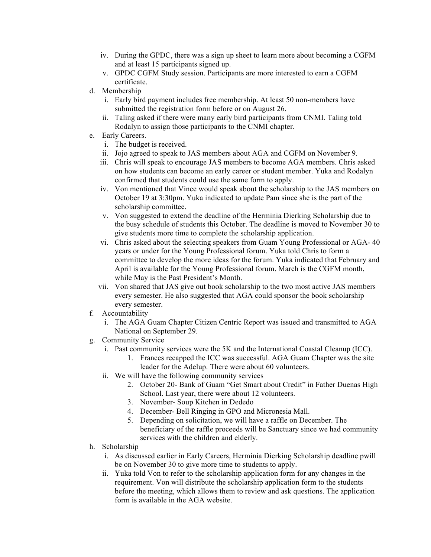- iv. During the GPDC, there was a sign up sheet to learn more about becoming a CGFM and at least 15 participants signed up.
- v. GPDC CGFM Study session. Participants are more interested to earn a CGFM certificate.
- d. Membership
	- i. Early bird payment includes free membership. At least 50 non-members have submitted the registration form before or on August 26.
	- ii. Taling asked if there were many early bird participants from CNMI. Taling told Rodalyn to assign those participants to the CNMI chapter.
- e. Early Careers.
	- i. The budget is received.
	- ii. Jojo agreed to speak to JAS members about AGA and CGFM on November 9.
	- iii. Chris will speak to encourage JAS members to become AGA members. Chris asked on how students can become an early career or student member. Yuka and Rodalyn confirmed that students could use the same form to apply.
	- iv. Von mentioned that Vince would speak about the scholarship to the JAS members on October 19 at 3:30pm. Yuka indicated to update Pam since she is the part of the scholarship committee.
	- v. Von suggested to extend the deadline of the Herminia Dierking Scholarship due to the busy schedule of students this October. The deadline is moved to November 30 to give students more time to complete the scholarship application.
	- vi. Chris asked about the selecting speakers from Guam Young Professional or AGA- 40 years or under for the Young Professional forum. Yuka told Chris to form a committee to develop the more ideas for the forum. Yuka indicated that February and April is available for the Young Professional forum. March is the CGFM month, while May is the Past President's Month.
	- vii. Von shared that JAS give out book scholarship to the two most active JAS members every semester. He also suggested that AGA could sponsor the book scholarship every semester.
- f. Accountability
	- i. The AGA Guam Chapter Citizen Centric Report was issued and transmitted to AGA National on September 29.
- g. Community Service
	- i. Past community services were the 5K and the International Coastal Cleanup (ICC).
		- 1. Frances recapped the ICC was successful. AGA Guam Chapter was the site leader for the Adelup. There were about 60 volunteers.
	- ii. We will have the following community services
		- 2. October 20- Bank of Guam "Get Smart about Credit" in Father Duenas High School. Last year, there were about 12 volunteers.
		- 3. November- Soup Kitchen in Dededo
		- 4. December- Bell Ringing in GPO and Micronesia Mall.
		- 5. Depending on solicitation, we will have a raffle on December. The beneficiary of the raffle proceeds will be Sanctuary since we had community services with the children and elderly.
- h. Scholarship
	- i. As discussed earlier in Early Careers, Herminia Dierking Scholarship deadline pwill be on November 30 to give more time to students to apply.
	- ii. Yuka told Von to refer to the scholarship application form for any changes in the requirement. Von will distribute the scholarship application form to the students before the meeting, which allows them to review and ask questions. The application form is available in the AGA website.